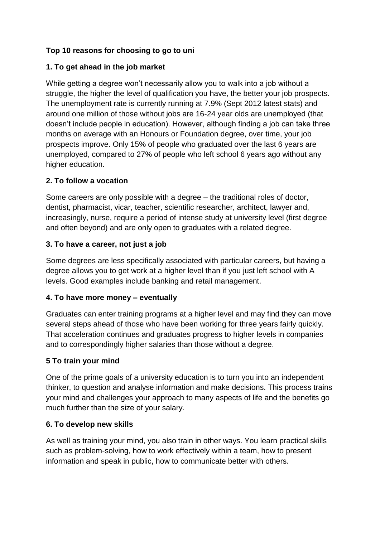# **Top 10 reasons for choosing to go to uni**

## **1. To get ahead in the job market**

While getting a degree won't necessarily allow you to walk into a job without a struggle, the higher the level of qualification you have, the better your job prospects. The unemployment rate is currently running at 7.9% (Sept 2012 latest stats) and around one million of those without jobs are 16-24 year olds are unemployed (that doesn't include people in education). However, although finding a job can take three months on average with an Honours or Foundation degree, over time, your job prospects improve. Only 15% of people who graduated over the last 6 years are unemployed, compared to 27% of people who left school 6 years ago without any higher education.

# **2. To follow a vocation**

Some careers are only possible with a degree – the traditional roles of doctor, dentist, pharmacist, vicar, teacher, scientific researcher, architect, lawyer and, increasingly, nurse, require a period of intense study at university level (first degree and often beyond) and are only open to graduates with a related degree.

### **3. To have a career, not just a job**

Some degrees are less specifically associated with particular careers, but having a degree allows you to get work at a higher level than if you just left school with A levels. Good examples include banking and retail management.

### **4. To have more money – eventually**

Graduates can enter training programs at a higher level and may find they can move several steps ahead of those who have been working for three years fairly quickly. That acceleration continues and graduates progress to higher levels in companies and to correspondingly higher salaries than those without a degree.

### **5 To train your mind**

One of the prime goals of a university education is to turn you into an independent thinker, to question and analyse information and make decisions. This process trains your mind and challenges your approach to many aspects of life and the benefits go much further than the size of your salary.

### **6. To develop new skills**

As well as training your mind, you also train in other ways. You learn practical skills such as problem-solving, how to work effectively within a team, how to present information and speak in public, how to communicate better with others.